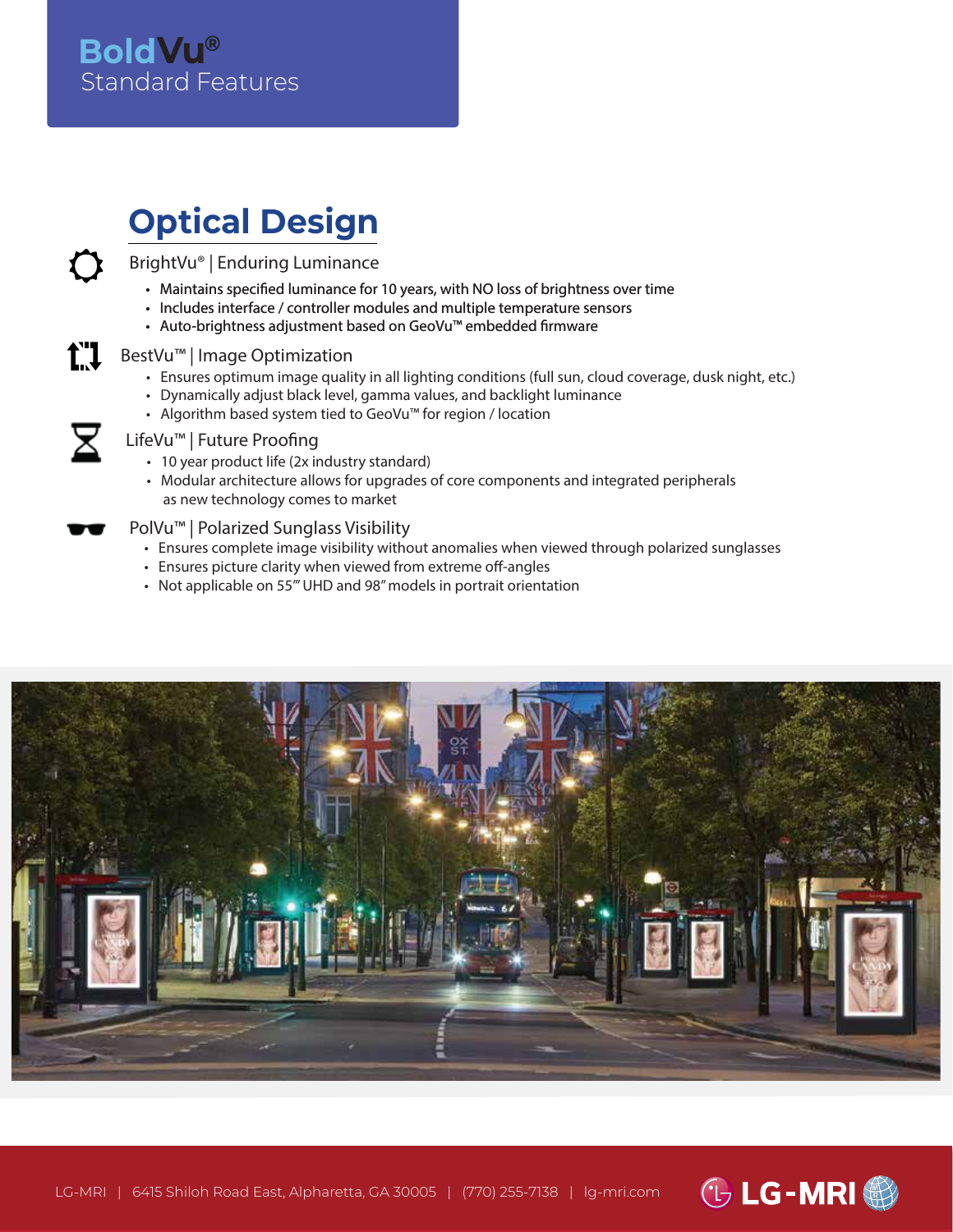### Standard Features **BoldVu®**

# **Optical Design**

BrightVu® | Enduring Luminance

- Maintains specified luminance for 10 years, with NO loss of brightness over time
- Includes interface / controller modules and multiple temperature sensors
- Auto-brightness adjustment based on GeoVu™ embedded firmware

### BestVu™ | Image Optimization

- Ensures optimum image quality in all lighting conditions (full sun, cloud coverage, dusk night, etc.)
- Dynamically adjust black level, gamma values, and backlight luminance
- Algorithm based system tied to GeoVu™ for region / location

#### LifeVu™ | Future Proofing

t"1

- 10 year product life (2x industry standard)
- Modular architecture allows for upgrades of core components and integrated peripherals as new technology comes to market

### PolVu™ | Polarized Sunglass Visibility

- Ensures complete image visibility without anomalies when viewed through polarized sunglasses
- Ensures picture clarity when viewed from extreme off-angles
- Not applicable on 55"' UHD and 98" models in portrait orientation



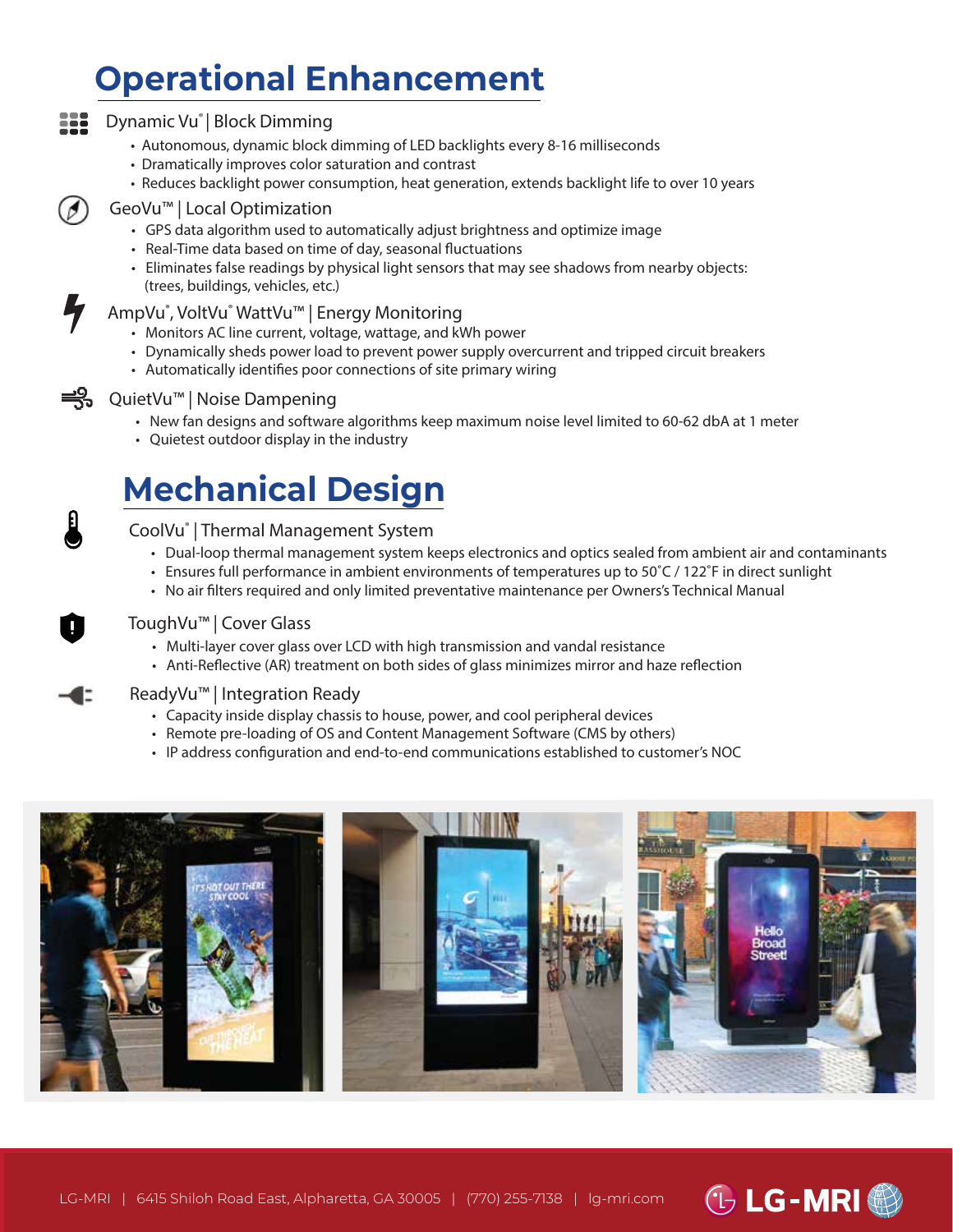## **Operational Enhancement**

#### Dynamic Vu® | Block Dimming ΞĒΞ

- Autonomous, dynamic block dimming of LED backlights every 8-16 milliseconds
- Dramatically improves color saturation and contrast
- Reduces backlight power consumption, heat generation, extends backlight life to over 10 years

### GeoVu™ | Local Optimization

- GPS data algorithm used to automatically adjust brightness and optimize image
- Real-Time data based on time of day, seasonal fluctuations
- Eliminates false readings by physical light sensors that may see shadows from nearby objects: (trees, buildings, vehicles, etc.)

### AmpVu® , VoltVu® WattVu™ | Energy Monitoring

- Monitors AC line current, voltage, wattage, and kWh power
- Dynamically sheds power load to prevent power supply overcurrent and tripped circuit breakers
- Automatically identifies poor connections of site primary wiring



### <del>■</del> QuietVu™ | Noise Dampening

- New fan designs and software algorithms keep maximum noise level limited to 60-62 dbA at 1 meter
- Quietest outdoor display in the industry

### **Mechanical Design**

### CoolVu® | Thermal Management System

- Dual-loop thermal management system keeps electronics and optics sealed from ambient air and contaminants
- Ensures full performance in ambient environments of temperatures up to 50˚C / 122˚F in direct sunlight
- No air filters required and only limited preventative maintenance per Owners's Technical Manual

### ToughVu™ | Cover Glass

- Multi-layer cover glass over LCD with high transmission and vandal resistance
- Anti-Reflective (AR) treatment on both sides of glass minimizes mirror and haze reflection

### ReadyVu™ | Integration Ready

- Capacity inside display chassis to house, power, and cool peripheral devices
- Remote pre-loading of OS and Content Management Software (CMS by others)
- IP address configuration and end-to-end communications established to customer's NOC